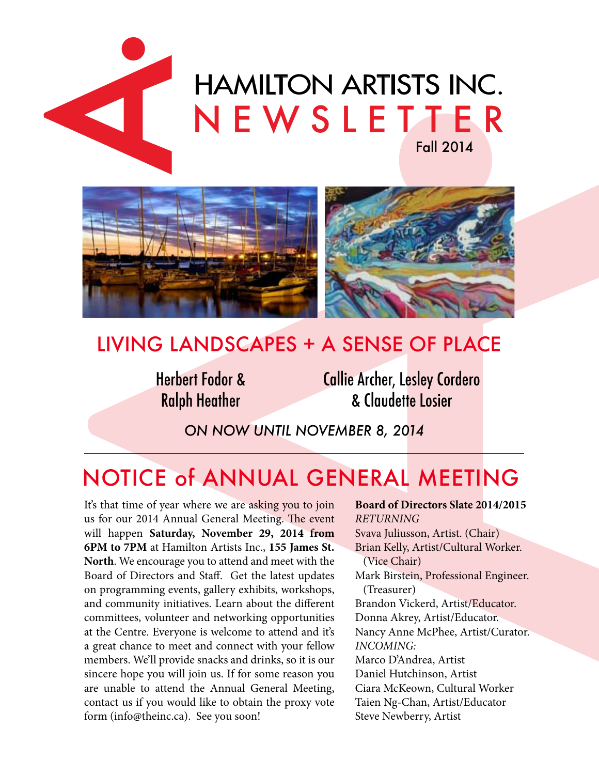



### LIVING LANDSCAPES + A SENSE OF PLACE

Herbert Fodor & Ralph Heather

Callie Archer, Lesley Cordero & Claudette Losier

*ON NOW Until November 8, 2014*

# NOTICE of ANNUAL GENERAL MEETING

It's that time of year where we are asking you to join us for our 2014 Annual General Meeting. The event will happen **Saturday, November 29, 2014 from 6PM to 7PM** at Hamilton Artists Inc., **155 James St. North**. We encourage you to attend and meet with the Board of Directors and Staff. Get the latest updates on programming events, gallery exhibits, workshops, and community initiatives. Learn about the different committees, volunteer and networking opportunities at the Centre. Everyone is welcome to attend and it's a great chance to meet and connect with your fellow members. We'll provide snacks and drinks, so it is our sincere hope you will join us. If for some reason you are unable to attend the Annual General Meeting, contact us if you would like to obtain the proxy vote form (info@theinc.ca). See you soon!

**Board of Directors Slate 2014/2015** *RETURNING* Svava Juliusson, Artist. (Chair) Brian Kelly, Artist/Cultural Worker. (Vice Chair) Mark Birstein, Professional Engineer. (Treasurer) Brandon Vickerd, Artist/Educator. Donna Akrey, Artist/Educator. Nancy Anne McPhee, Artist/Curator. *INCOMING:* Marco D'Andrea, Artist Daniel Hutchinson, Artist Ciara McKeown, Cultural Worker Taien Ng-Chan, Artist/Educator Steve Newberry, Artist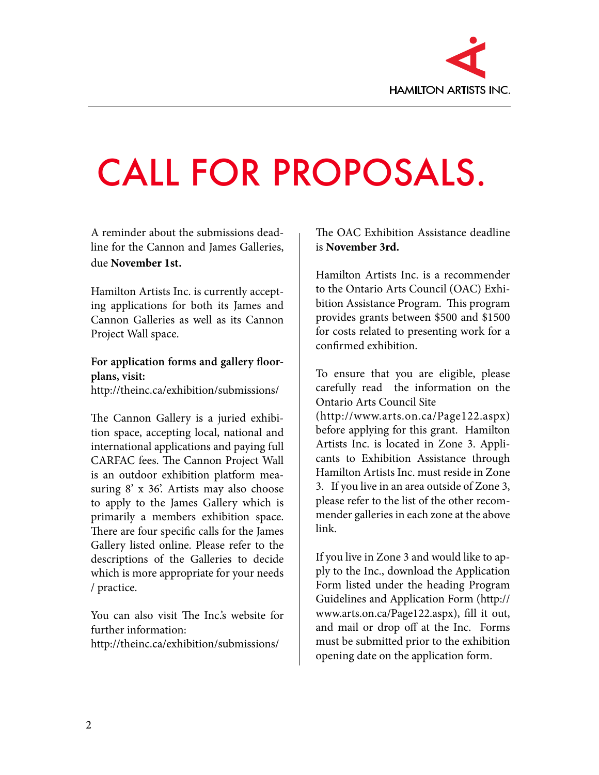

# CALL FOR PROPOSALS.

A reminder about the submissions deadline for the Cannon and James Galleries, due **November 1st.** 

Hamilton Artists Inc. is currently accepting applications for both its James and Cannon Galleries as well as its Cannon Project Wall space.

#### **For application forms and gallery floorplans, visit:**

http://theinc.ca/exhibition/submissions/

The Cannon Gallery is a juried exhibition space, accepting local, national and international applications and paying full CARFAC fees. The Cannon Project Wall is an outdoor exhibition platform measuring 8' x 36'. Artists may also choose to apply to the James Gallery which is primarily a members exhibition space. There are four specific calls for the James Gallery listed online. Please refer to the descriptions of the Galleries to decide which is more appropriate for your needs / practice.

You can also visit The Inc.'s website for further information:

http://theinc.ca/exhibition/submissions/

The OAC Exhibition Assistance deadline is **November 3rd.**

Hamilton Artists Inc. is a recommender to the Ontario Arts Council (OAC) Exhibition Assistance Program. This program provides grants between \$500 and \$1500 for costs related to presenting work for a confirmed exhibition.

To ensure that you are eligible, please carefully read the information on the Ontario Arts Council Site

(http://www.arts.on.ca/Page122.aspx) before applying for this grant. Hamilton Artists Inc. is located in Zone 3. Applicants to Exhibition Assistance through Hamilton Artists Inc. must reside in Zone 3. If you live in an area outside of Zone 3, please refer to the list of the other recommender galleries in each zone at the above link.

If you live in Zone 3 and would like to apply to the Inc., download the Application Form listed under the heading Program Guidelines and Application Form (http:// www.arts.on.ca/Page122.aspx), fill it out, and mail or drop off at the Inc. Forms must be submitted prior to the exhibition opening date on the application form.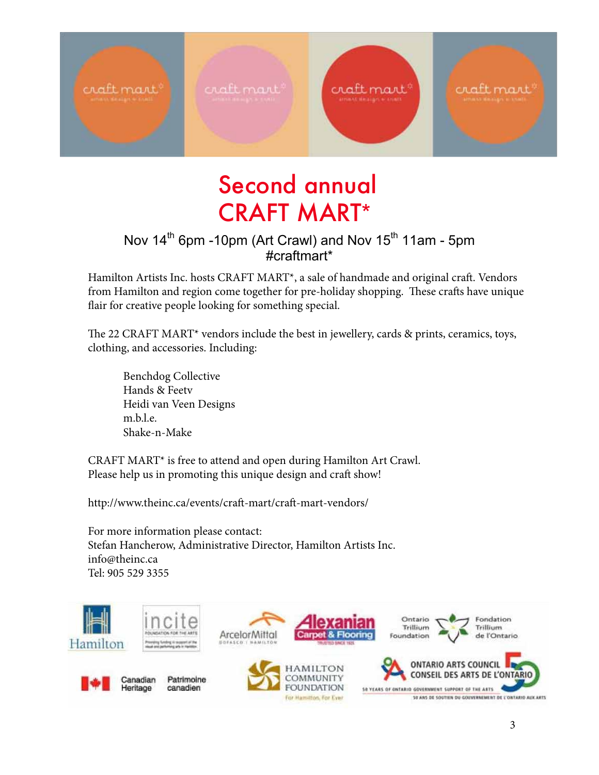

# Second annual CRAFT MART\*

#### Nov  $14^{th}$  6pm -10pm (Art Crawl) and Nov  $15^{th}$  11am - 5pm #craftmart\*

Hamilton Artists Inc. hosts CRAFT MART\*, a sale of handmade and original craft. Vendors from Hamilton and region come together for pre-holiday shopping. These crafts have unique flair for creative people looking for something special.

The 22 CRAFT MART\* vendors include the best in jewellery, cards & prints, ceramics, toys, clothing, and accessories. Including:

Benchdog Collective Hands & Feetv Heidi van Veen Designs m.b.l.e. Shake-n-Make

CRAFT MART\* is free to attend and open during Hamilton Art Crawl. Please help us in promoting this unique design and craft show!

http://www.theinc.ca/events/craft-mart/craft-mart-vendors/

For more information please contact: Stefan Hancherow, Administrative Director, Hamilton Artists Inc. info@theinc.ca Tel: 905 529 3355

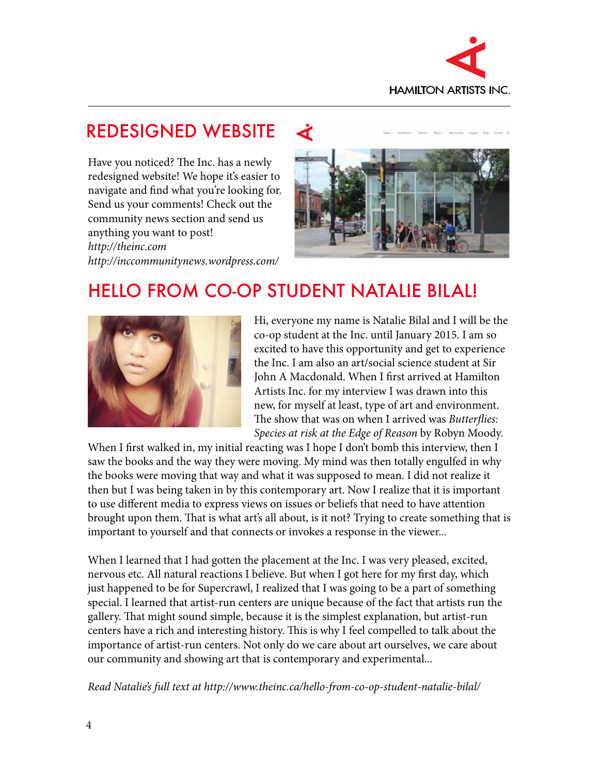

#### Redesigned Website

Have you noticed? The Inc. has a newly redesigned website! We hope it's easier to navigate and find what you're looking for. Send us your comments! Check out the community news section and send us anything you want to post! *http://theinc.com http://inccommunitynews.wordpress.com/*



## Hello from co-op student Natalie Bilal!



Hi, everyone my name is Natalie Bilal and I will be the co-op student at the Inc. until January 2015. I am so excited to have this opportunity and get to experience the Inc. I am also an art/social science student at Sir John A Macdonald. When I first arrived at Hamilton Artists Inc. for my interview I was drawn into this new, for myself at least, type of art and environment. The show that was on when I arrived was *Butterflies: Species at risk at the Edge of Reason* by Robyn Moody.

When I first walked in, my initial reacting was I hope I don't bomb this interview, then I saw the books and the way they were moving. My mind was then totally engulfed in why the books were moving that way and what it was supposed to mean. I did not realize it then but I was being taken in by this contemporary art. Now I realize that it is important to use different media to express views on issues or beliefs that need to have attention brought upon them. That is what art's all about, is it not? Trying to create something that is important to yourself and that connects or invokes a response in the viewer...

When I learned that I had gotten the placement at the Inc. I was very pleased, excited, nervous etc. All natural reactions I believe. But when I got here for my first day, which just happened to be for Supercrawl, I realized that I was going to be a part of something special. I learned that artist-run centers are unique because of the fact that artists run the gallery. That might sound simple, because it is the simplest explanation, but artist-run centers have a rich and interesting history. This is why I feel compelled to talk about the importance of artist-run centers. Not only do we care about art ourselves, we care about our community and showing art that is contemporary and experimental...

*Read Natalie's full text at http://www.theinc.ca/hello-from-co-op-student-natalie-bilal/*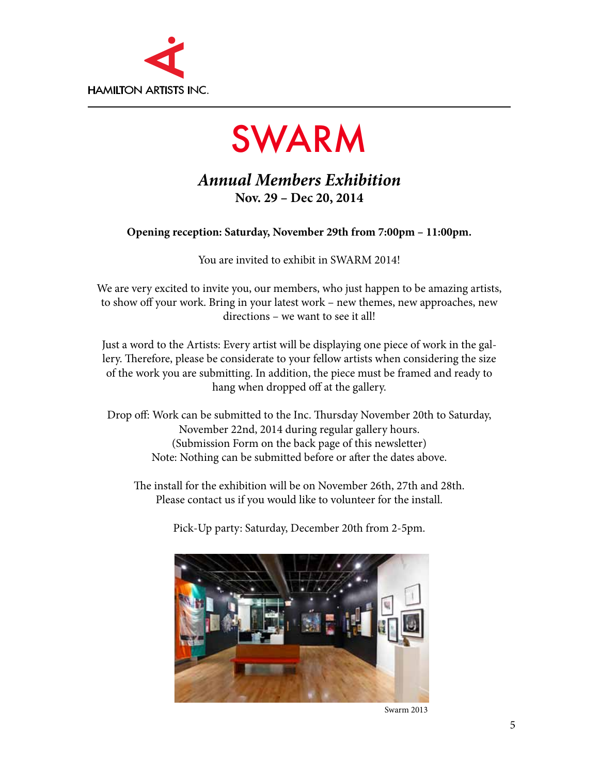



#### *Annual Members Exhibition* **Nov. 29 – Dec 20, 2014**

**Opening reception: Saturday, November 29th from 7:00pm – 11:00pm.**

You are invited to exhibit in SWARM 2014!

We are very excited to invite you, our members, who just happen to be amazing artists, to show off your work. Bring in your latest work – new themes, new approaches, new directions – we want to see it all!

Just a word to the Artists: Every artist will be displaying one piece of work in the gallery. Therefore, please be considerate to your fellow artists when considering the size of the work you are submitting. In addition, the piece must be framed and ready to hang when dropped off at the gallery.

Drop off: Work can be submitted to the Inc. Thursday November 20th to Saturday, November 22nd, 2014 during regular gallery hours. (Submission Form on the back page of this newsletter) Note: Nothing can be submitted before or after the dates above.

The install for the exhibition will be on November 26th, 27th and 28th. Please contact us if you would like to volunteer for the install.

Pick-Up party: Saturday, December 20th from 2-5pm.



Swarm 2013